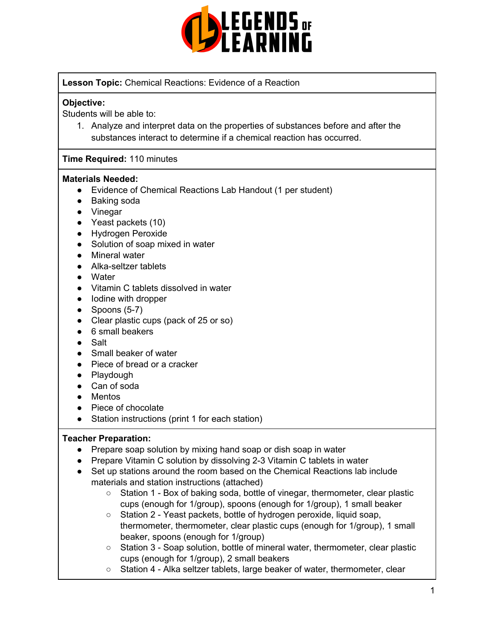

### **Lesson Topic:** Chemical Reactions: Evidence of a Reaction

### **Objective:**

Students will be able to:

1. Analyze and interpret data on the properties of substances before and after the substances interact to determine if a chemical reaction has occurred.

### **Time Required:** 110 minutes

#### **Materials Needed:**

- Evidence of Chemical Reactions Lab Handout (1 per student)
- Baking soda
- Vinegar
- Yeast packets (10)
- Hydrogen Peroxide
- Solution of soap mixed in water
- Mineral water
- Alka-seltzer tablets
- Water
- Vitamin C tablets dissolved in water
- lodine with dropper
- $\bullet$  Spoons (5-7)
- Clear plastic cups (pack of 25 or so)
- 6 small beakers
- Salt
- Small beaker of water
- Piece of bread or a cracker
- Playdough
- Can of soda
- Mentos
- Piece of chocolate
- Station instructions (print 1 for each station)

#### **Teacher Preparation:**

- Prepare soap solution by mixing hand soap or dish soap in water
- Prepare Vitamin C solution by dissolving 2-3 Vitamin C tablets in water
- Set up stations around the room based on the Chemical Reactions lab include materials and station instructions (attached)
	- Station 1 Box of baking soda, bottle of vinegar, thermometer, clear plastic cups (enough for 1/group), spoons (enough for 1/group), 1 small beaker
	- Station 2 Yeast packets, bottle of hydrogen peroxide, liquid soap, thermometer, thermometer, clear plastic cups (enough for 1/group), 1 small beaker, spoons (enough for 1/group)
	- Station 3 Soap solution, bottle of mineral water, thermometer, clear plastic cups (enough for 1/group), 2 small beakers
	- Station 4 Alka seltzer tablets, large beaker of water, thermometer, clear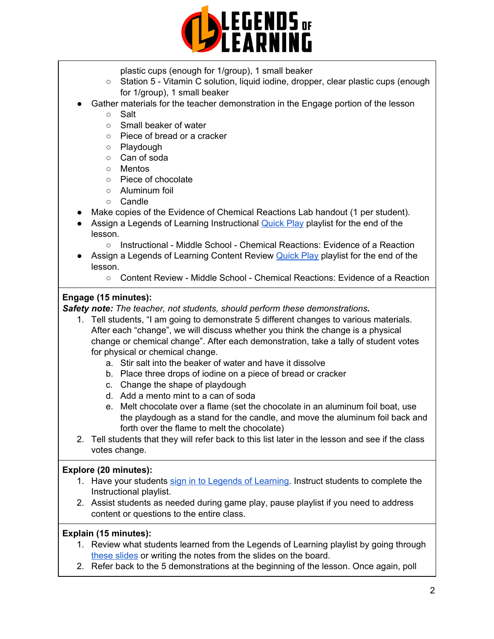

- plastic cups (enough for 1/group), 1 small beaker
- Station 5 Vitamin C solution, liquid iodine, dropper, clear plastic cups (enough for 1/group), 1 small beaker
- Gather materials for the teacher demonstration in the Engage portion of the lesson
	- Salt
	- Small beaker of water
	- Piece of bread or a cracker
	- Playdough
	- Can of soda
	- Mentos
	- Piece of chocolate
	- Aluminum foil
	- Candle
- Make copies of the Evidence of Chemical Reactions Lab handout (1 per student).
- Assign a Legends of Learning Instructional [Quick](https://intercom.help/legends-of-learning/en/articles/2701866-assigning-a-quick-play-playlist) Play playlist for the end of the lesson.
	- Instructional Middle School Chemical Reactions: Evidence of a Reaction
- Assign a Legends of Learning Content Review [Quick](https://intercom.help/legends-of-learning/en/articles/2701866-assigning-a-quick-play-playlist) Play playlist for the end of the lesson.
	- Content Review Middle School Chemical Reactions: Evidence of a Reaction

### **Engage (15 minutes):**

*Safety note: The teacher, not students, should perform these demonstrations.*

- 1. Tell students, "I am going to demonstrate 5 different changes to various materials. After each "change", we will discuss whether you think the change is a physical change or chemical change". After each demonstration, take a tally of student votes for physical or chemical change.
	- a. Stir salt into the beaker of water and have it dissolve
	- b. Place three drops of iodine on a piece of bread or cracker
	- c. Change the shape of playdough
	- d. Add a mento mint to a can of soda
	- e. Melt chocolate over a flame (set the chocolate in an aluminum foil boat, use the playdough as a stand for the candle, and move the aluminum foil back and forth over the flame to melt the chocolate)
- 2. Tell students that they will refer back to this list later in the lesson and see if the class votes change.

#### **Explore (20 minutes):**

- 1. Have your students sign in to Legends of [Learning](https://intercom.help/legends-of-learning/en/articles/2154920-students-joining-a-playlist). Instruct students to complete the Instructional playlist.
- 2. Assist students as needed during game play, pause playlist if you need to address content or questions to the entire class.

### **Explain (15 minutes):**

- 1. Review what students learned from the Legends of Learning playlist by going through these [slides](https://drive.google.com/file/d/0B8VZjeNDVxa5ZElCVl9lQVRjbDQ/view?usp=sharing) or writing the notes from the slides on the board.
- 2. Refer back to the 5 demonstrations at the beginning of the lesson. Once again, poll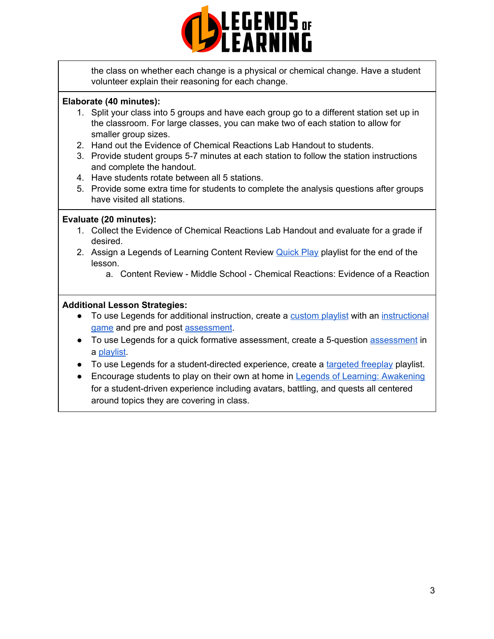

the class on whether each change is a physical or chemical change. Have a student volunteer explain their reasoning for each change.

### **Elaborate (40 minutes):**

- 1. Split your class into 5 groups and have each group go to a different station set up in the classroom. For large classes, you can make two of each station to allow for smaller group sizes.
- 2. Hand out the Evidence of Chemical Reactions Lab Handout to students.
- 3. Provide student groups 5-7 minutes at each station to follow the station instructions and complete the handout.
- 4. Have students rotate between all 5 stations.
- 5. Provide some extra time for students to complete the analysis questions after groups have visited all stations.

#### **Evaluate (20 minutes):**

- 1. Collect the Evidence of Chemical Reactions Lab Handout and evaluate for a grade if desired.
- 2. Assign a Legends of Learning Content Review [Quick](https://intercom.help/legends-of-learning/en/articles/2701866-assigning-a-quick-play-playlist) Play playlist for the end of the lesson.
	- a. Content Review Middle School Chemical Reactions: Evidence of a Reaction

### **Additional Lesson Strategies:**

- To use Legends for additional instruction, create a [custom](https://intercom.help/legends-of-learning/en/articles/2154910-creating-a-playlist) playlist with an [instructional](https://intercom.help/legends-of-learning/en/articles/3505828-types-of-games) [game](https://intercom.help/legends-of-learning/en/articles/3505828-types-of-games) and pre and post [assessment](https://intercom.help/legends-of-learning/en/articles/2154913-adding-assessments-to-a-playlist).
- To use Legends for a quick formative [assessment](https://intercom.help/legends-of-learning/en/articles/2154913-adding-assessments-to-a-playlist), create a 5-question assessment in a [playlist](https://intercom.help/legends-of-learning/en/articles/2154910-creating-a-playlist).
- To use Legends for a student-directed experience, create a [targeted](https://intercom.help/legends-of-learning/en/articles/3340814-targeted-freeplay) freeplay playlist.
- Encourage students to play on their own at home in Legends of Learning: [Awakening](https://intercom.help/legends-of-learning/en/articles/2425490-legends-of-learning-awakening) for a student-driven experience including avatars, battling, and quests all centered around topics they are covering in class.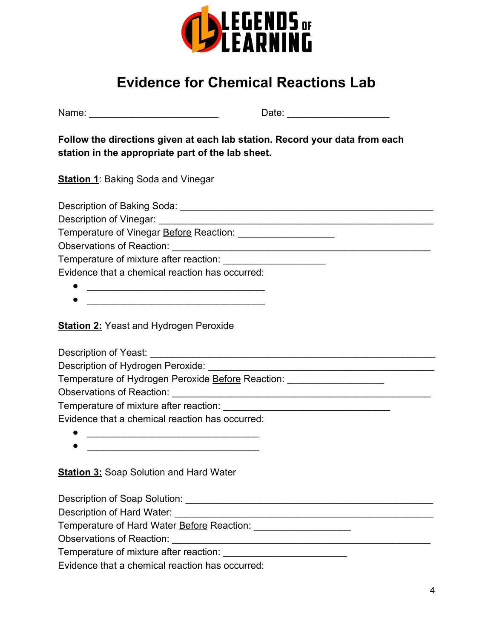

# **Evidence for Chemical Reactions Lab**

**Follow the directions given at each lab station. Record your data from each station in the appropriate part of the lab sheet.**

**Station 1:** Baking Soda and Vinegar

Description of Baking Soda: \_\_\_\_\_\_\_\_\_\_\_\_\_\_\_\_\_\_\_\_\_\_\_\_\_\_\_\_\_\_\_\_\_\_\_\_\_\_\_\_\_\_\_\_\_\_\_

Description of Vinegar:

Temperature of Vinegar **Before Reaction:** \_\_\_\_\_\_\_\_\_\_\_\_\_\_\_\_\_\_\_\_

Observations of Reaction: \_\_\_\_\_\_\_\_\_\_\_\_\_\_\_\_\_\_\_\_\_\_\_\_\_\_\_\_\_\_\_\_\_\_\_\_\_\_\_\_\_\_\_\_\_\_\_\_

Temperature of mixture after reaction: \_\_\_\_\_\_\_\_\_\_\_\_\_\_\_\_\_\_\_

Evidence that a chemical reaction has occurred:

- \_\_\_\_\_\_\_\_\_\_\_\_\_\_\_\_\_\_\_\_\_\_\_\_\_\_\_\_\_\_\_\_\_
- \_\_\_\_\_\_\_\_\_\_\_\_\_\_\_\_\_\_\_\_\_\_\_\_\_\_\_\_\_\_\_\_\_

**Station 2: Yeast and Hydrogen Peroxide** 

Description of Yeast: \_\_\_\_\_\_\_\_\_\_\_\_\_\_\_\_\_\_\_\_\_\_\_\_\_\_\_\_\_\_\_\_\_\_\_\_\_\_\_\_\_\_\_\_\_\_\_\_\_\_\_\_\_

Description of Hydrogen Peroxide: \_\_\_\_\_\_\_\_\_\_\_\_\_\_\_\_\_\_\_\_\_\_\_\_\_\_\_\_\_\_\_\_\_\_\_\_\_\_\_\_\_\_

Temperature of Hydrogen Peroxide Before Reaction:

Observations of Reaction: \_\_\_\_\_\_\_\_\_\_\_\_\_\_\_\_\_\_\_\_\_\_\_\_\_\_\_\_\_\_\_\_\_\_\_\_\_\_\_\_\_\_\_\_\_\_\_\_

Temperature of mixture after reaction:

Evidence that a chemical reaction has occurred:

- \_\_\_\_\_\_\_\_\_\_\_\_\_\_\_\_\_\_\_\_\_\_\_\_\_\_\_\_\_\_\_\_
- 

**Station 3:** Soap Solution and Hard Water

Description of Soap Solution: **Example 2018** 

Description of Hard Water: **Example 20** and 20 and 20 and 20 and 20 and 20 and 20 and 20 and 20 and 20 and 20 and 20 and 20 and 20 and 20 and 20 and 20 and 20 and 20 and 20 and 20 and 20 and 20 and 20 and 20 and 20 and 20

Temperature of Hard Water **Before Reaction:**  $\blacksquare$ 

Observations of Reaction: \_\_\_\_\_\_\_\_\_\_\_\_\_\_\_\_\_\_\_\_\_\_\_\_\_\_\_\_\_\_\_\_\_\_\_\_\_\_\_\_\_\_\_\_\_\_\_\_

Temperature of mixture after reaction: \_\_\_\_\_\_\_\_\_\_\_\_\_\_\_\_\_\_\_\_\_\_\_

Evidence that a chemical reaction has occurred: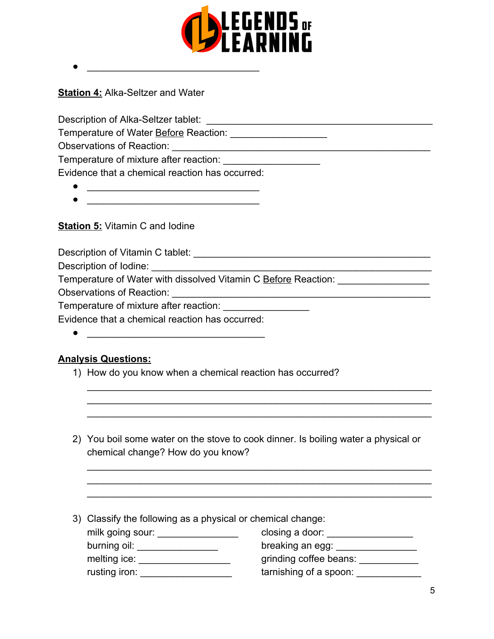

**Station 4:** Alka-Seltzer and Water

Description of Alka-Seltzer tablet: \_\_\_\_\_\_\_\_\_\_\_\_\_\_\_\_\_\_\_\_\_\_\_\_\_\_\_\_\_\_\_\_\_\_\_\_\_\_\_\_\_\_

Temperature of Water **Before** Reaction:

Observations of Reaction: \_\_\_\_\_\_\_\_\_\_\_\_\_\_\_\_\_\_\_\_\_\_\_\_\_\_\_\_\_\_\_\_\_\_\_\_\_\_\_\_\_\_\_\_\_\_\_\_

Temperature of mixture after reaction:

Evidence that a chemical reaction has occurred:

● \_\_\_\_\_\_\_\_\_\_\_\_\_\_\_\_\_\_\_\_\_\_\_\_\_\_\_\_\_\_\_\_

● \_\_\_\_\_\_\_\_\_\_\_\_\_\_\_\_\_\_\_\_\_\_\_\_\_\_\_\_\_\_\_\_

**Station 5: Vitamin C and lodine** 

Description of Vitamin C tablet: **Example 2018** 

Description of lodine:

Temperature of Water with dissolved Vitamin C Before Reaction:

Observations of Reaction: \_\_\_\_\_\_\_\_\_\_\_\_\_\_\_\_\_\_\_\_\_\_\_\_\_\_\_\_\_\_\_\_\_\_\_\_\_\_\_\_\_\_\_\_\_\_\_\_

Temperature of mixture after reaction: \_\_\_\_\_\_\_\_\_\_\_\_\_\_\_\_

Evidence that a chemical reaction has occurred:

 $\bullet$ 

### **Analysis Questions:**

- 1) How do you know when a chemical reaction has occurred?
- 2) You boil some water on the stove to cook dinner. Is boiling water a physical or chemical change? How do you know?

\_\_\_\_\_\_\_\_\_\_\_\_\_\_\_\_\_\_\_\_\_\_\_\_\_\_\_\_\_\_\_\_\_\_\_\_\_\_\_\_\_\_\_\_\_\_\_\_\_\_\_\_\_\_\_\_\_\_\_\_\_\_\_\_ \_\_\_\_\_\_\_\_\_\_\_\_\_\_\_\_\_\_\_\_\_\_\_\_\_\_\_\_\_\_\_\_\_\_\_\_\_\_\_\_\_\_\_\_\_\_\_\_\_\_\_\_\_\_\_\_\_\_\_\_\_\_\_\_ \_\_\_\_\_\_\_\_\_\_\_\_\_\_\_\_\_\_\_\_\_\_\_\_\_\_\_\_\_\_\_\_\_\_\_\_\_\_\_\_\_\_\_\_\_\_\_\_\_\_\_\_\_\_\_\_\_\_\_\_\_\_\_\_

\_\_\_\_\_\_\_\_\_\_\_\_\_\_\_\_\_\_\_\_\_\_\_\_\_\_\_\_\_\_\_\_\_\_\_\_\_\_\_\_\_\_\_\_\_\_\_\_\_\_\_\_\_\_\_\_\_\_\_\_\_\_\_\_ \_\_\_\_\_\_\_\_\_\_\_\_\_\_\_\_\_\_\_\_\_\_\_\_\_\_\_\_\_\_\_\_\_\_\_\_\_\_\_\_\_\_\_\_\_\_\_\_\_\_\_\_\_\_\_\_\_\_\_\_\_\_\_\_ \_\_\_\_\_\_\_\_\_\_\_\_\_\_\_\_\_\_\_\_\_\_\_\_\_\_\_\_\_\_\_\_\_\_\_\_\_\_\_\_\_\_\_\_\_\_\_\_\_\_\_\_\_\_\_\_\_\_\_\_\_\_\_\_

| 3) Classify the following as a physical or chemical change: |  |  |  |
|-------------------------------------------------------------|--|--|--|
|                                                             |  |  |  |

| milk going sour: |  |
|------------------|--|
| burning oil:     |  |
| melting ice:     |  |
| rusting iron:    |  |

 $\mathsf{closing a door:} \_\_\_\_\_\_\_\_\_\_\_\_\_\_\_\_\_$ breaking an egg:  $\Box$ grinding coffee beans: \_\_\_\_\_\_\_\_\_\_\_\_  $t$ arnishing of a spoon:  $\rule{1em}{0.15mm}$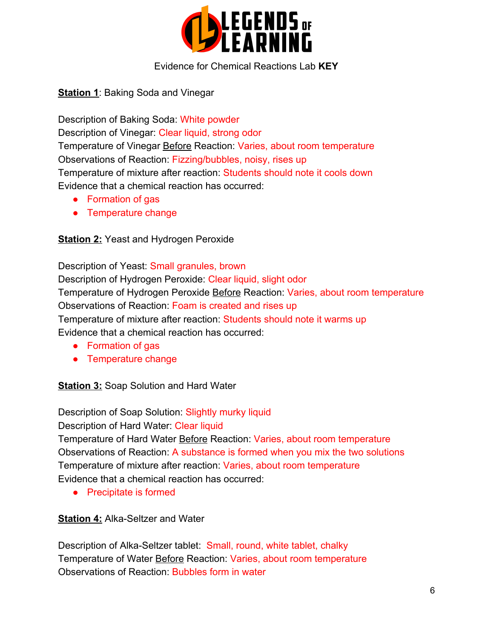

### Evidence for Chemical Reactions Lab **KEY**

**Station 1: Baking Soda and Vinegar** 

Description of Baking Soda: White powder Description of Vinegar: Clear liquid, strong odor Temperature of Vinegar Before Reaction: Varies, about room temperature Observations of Reaction: Fizzing/bubbles, noisy, rises up Temperature of mixture after reaction: Students should note it cools down Evidence that a chemical reaction has occurred:

- Formation of gas
- Temperature change

### **Station 2: Yeast and Hydrogen Peroxide**

Description of Yeast: Small granules, brown Description of Hydrogen Peroxide: Clear liquid, slight odor Temperature of Hydrogen Peroxide Before Reaction: Varies, about room temperature Observations of Reaction: Foam is created and rises up Temperature of mixture after reaction: Students should note it warms up Evidence that a chemical reaction has occurred:

- Formation of gas
- Temperature change

**Station 3: Soap Solution and Hard Water** 

Description of Soap Solution: Slightly murky liquid Description of Hard Water: Clear liquid Temperature of Hard Water Before Reaction: Varies, about room temperature Observations of Reaction: A substance is formed when you mix the two solutions Temperature of mixture after reaction: Varies, about room temperature Evidence that a chemical reaction has occurred:

● Precipitate is formed

**Station 4:** Alka-Seltzer and Water

Description of Alka-Seltzer tablet: Small, round, white tablet, chalky Temperature of Water Before Reaction: Varies, about room temperature Observations of Reaction: Bubbles form in water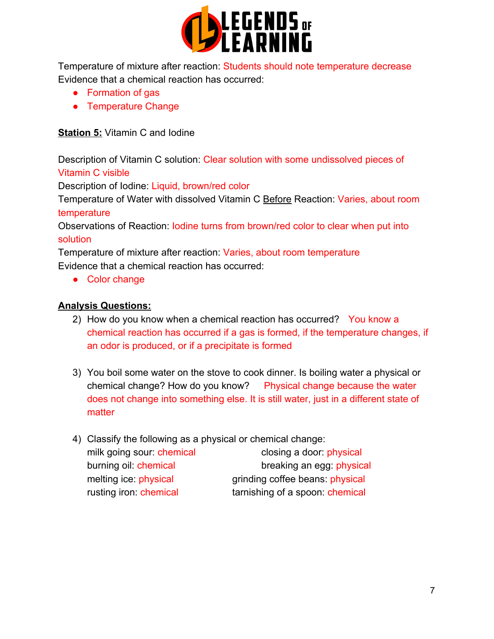

Temperature of mixture after reaction: Students should note temperature decrease Evidence that a chemical reaction has occurred:

- Formation of gas
- Temperature Change

### **Station 5:** Vitamin C and Iodine

Description of Vitamin C solution: Clear solution with some undissolved pieces of Vitamin C visible

Description of Iodine: Liquid, brown/red color

Temperature of Water with dissolved Vitamin C Before Reaction: Varies, about room temperature

Observations of Reaction: Iodine turns from brown/red color to clear when put into solution

Temperature of mixture after reaction: Varies, about room temperature Evidence that a chemical reaction has occurred:

● Color change

### **Analysis Questions:**

- 2) How do you know when a chemical reaction has occurred? You know a chemical reaction has occurred if a gas is formed, if the temperature changes, if an odor is produced, or if a precipitate is formed
- 3) You boil some water on the stove to cook dinner. Is boiling water a physical or chemical change? How do you know? Physical change because the water does not change into something else. It is still water, just in a different state of matter
- 4) Classify the following as a physical or chemical change: milk going sour: chemical closing a door: physical burning oil: chemical breaking an egg: physical melting ice: physical grinding coffee beans: physical rusting iron: chemical tarnishing of a spoon: chemical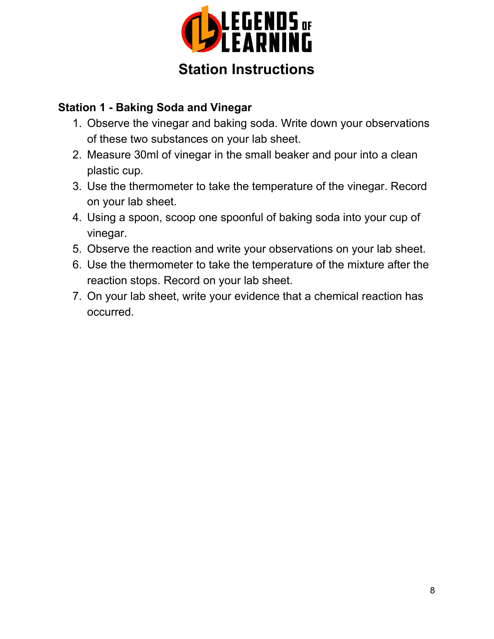

# **Station Instructions**

## **Station 1 - Baking Soda and Vinegar**

- 1. Observe the vinegar and baking soda. Write down your observations of these two substances on your lab sheet.
- 2. Measure 30ml of vinegar in the small beaker and pour into a clean plastic cup.
- 3. Use the thermometer to take the temperature of the vinegar. Record on your lab sheet.
- 4. Using a spoon, scoop one spoonful of baking soda into your cup of vinegar.
- 5. Observe the reaction and write your observations on your lab sheet.
- 6. Use the thermometer to take the temperature of the mixture after the reaction stops. Record on your lab sheet.
- 7. On your lab sheet, write your evidence that a chemical reaction has occurred.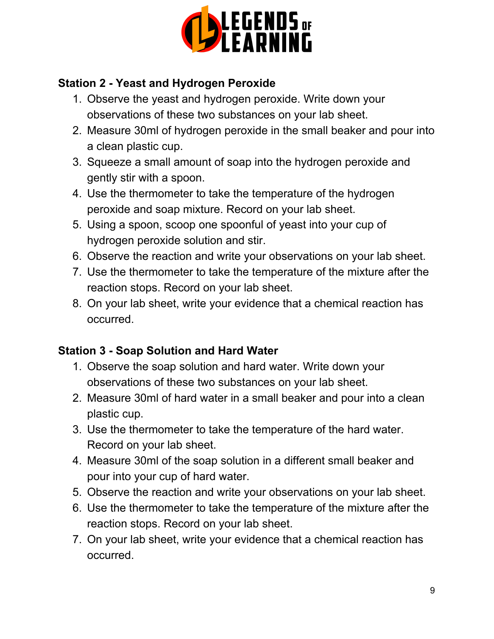

# **Station 2 - Yeast and Hydrogen Peroxide**

- 1. Observe the yeast and hydrogen peroxide. Write down your observations of these two substances on your lab sheet.
- 2. Measure 30ml of hydrogen peroxide in the small beaker and pour into a clean plastic cup.
- 3. Squeeze a small amount of soap into the hydrogen peroxide and gently stir with a spoon.
- 4. Use the thermometer to take the temperature of the hydrogen peroxide and soap mixture. Record on your lab sheet.
- 5. Using a spoon, scoop one spoonful of yeast into your cup of hydrogen peroxide solution and stir.
- 6. Observe the reaction and write your observations on your lab sheet.
- 7. Use the thermometer to take the temperature of the mixture after the reaction stops. Record on your lab sheet.
- 8. On your lab sheet, write your evidence that a chemical reaction has occurred.

# **Station 3 - Soap Solution and Hard Water**

- 1. Observe the soap solution and hard water. Write down your observations of these two substances on your lab sheet.
- 2. Measure 30ml of hard water in a small beaker and pour into a clean plastic cup.
- 3. Use the thermometer to take the temperature of the hard water. Record on your lab sheet.
- 4. Measure 30ml of the soap solution in a different small beaker and pour into your cup of hard water.
- 5. Observe the reaction and write your observations on your lab sheet.
- 6. Use the thermometer to take the temperature of the mixture after the reaction stops. Record on your lab sheet.
- 7. On your lab sheet, write your evidence that a chemical reaction has occurred.